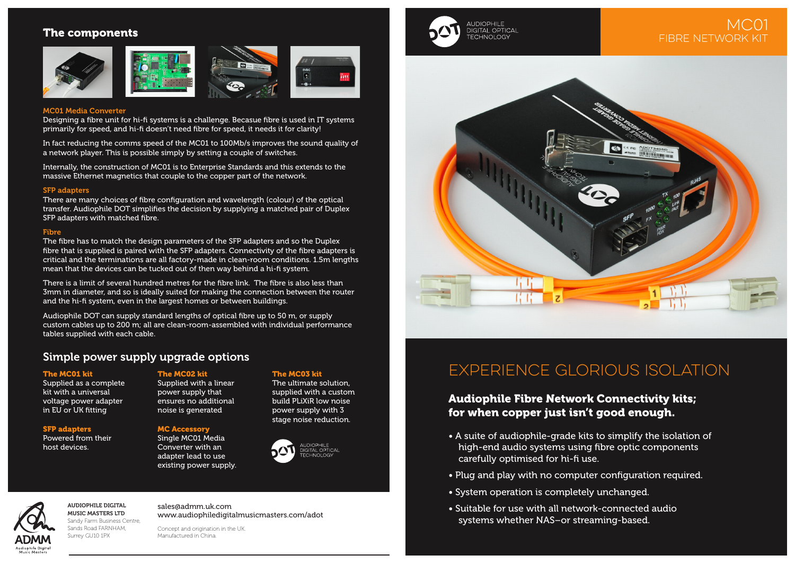## The components







### MC01 Media Converter

Designing a fibre unit for hi-fi systems is a challenge. Becasue fibre is used in IT systems primarily for speed, and hi-fi doesn't need fibre for speed, it needs it for clarity!

In fact reducing the comms speed of the MC01 to 100Mb/s improves the sound quality of a network player. This is possible simply by setting a couple of switches.

Internally, the construction of MC01 is to Enterprise Standards and this extends to the massive Ethernet magnetics that couple to the copper part of the network.

### SFP adapters

There are many choices of fibre configuration and wavelength (colour) of the optical transfer. Audiophile DOT simplifies the decision by supplying a matched pair of Duplex SFP adapters with matched fibre.

## Fibre

The fibre has to match the design parameters of the SFP adapters and so the Duplex fibre that is supplied is paired with the SFP adapters. Connectivity of the fibre adapters is critical and the terminations are all factory-made in clean-room conditions. 1.5m lengths mean that the devices can be tucked out of then way behind a hi-fi system.

There is a limit of several hundred metres for the fibre link. The fibre is also less than 3mm in diameter, and so is ideally suited for making the connection between the router and the hi-fi system, even in the largest homes or between buildings.

Audiophile DOT can supply standard lengths of optical fibre up to 50 m, or supply custom cables up to 200 m; all are clean-room-assembled with individual performance tables supplied with each cable.

# Simple power supply upgrade options

## The MC01 kit

Supplied as a complete kit with a universal voltage power adapter in EU or UK fitting

## SFP adapters

Powered from their host devices.

## The MC02 kit

Supplied with a linear power supply that ensures no additional noise is generated

## MC Accessory

Single MC01 Media Converter with an adapter lead to use existing power supply.

### The MC03 kit

The ultimate solution, supplied with a custom build PLiXiR low noise power supply with 3 stage noise reduction.





**AUDIOPHILE** DIGITAL OPTICAL TECHNOLOGY

# EXPERIENCE Glorious ISOLATION

# Audiophile Fibre Network Connectivity kits; for when copper just isn't good enough.

- A suite of audiophile-grade kits to simplify the isolation of high-end audio systems using fibre optic components carefully optimised for hi-fi use.
- Plug and play with no computer configuration required.
- System operation is completely unchanged.
- Suitable for use with all network-connected audio systems whether NAS–or streaming-based.

udianhila Diaita

#### AUDIOPHILE DIGITAL MUSIC MASTERS LTD Sandy Farm Business Centre, Sands Road FARNHAM, Surrey GU10 1PX

sales@admm.uk.com www.audiophiledigitalmusicmasters.com/adot

Concept and origination in the UK. Manufactured in China.